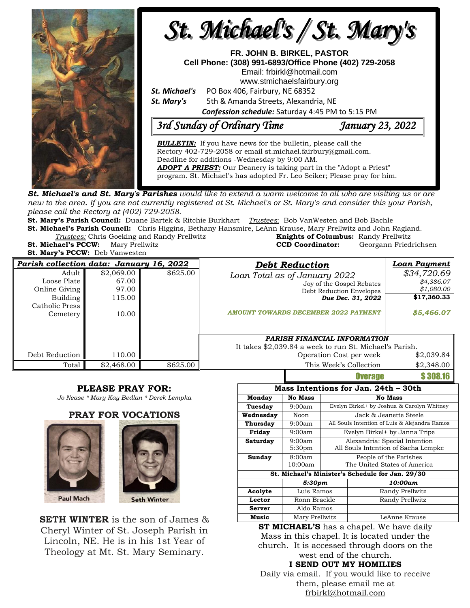

new to the area. If you are not currently registered at St. Michael's or St. Mary's and consider this your Parish, *please call the Rectory at (402) 729-2058.* 

**St. Mary's Parish Council:** Duane Bartek & Ritchie Burkhart *Trustees*: Bob VanWesten and Bob Bachle

**St. Michael's Parish Council:** Chris Higgins, Bethany Hansmire, LeAnn Krause, Mary Prellwitz and John Ragland. **Trustees:** Chris Goeking and Randy Prellwitz

| <i>Trustees:</i> Chris Goeking and Randy Prellwitz | <b>Knights of Columbus: Randy Prellwitz</b> |                       |
|----------------------------------------------------|---------------------------------------------|-----------------------|
| <b>St. Michael's PCCW:</b> Mary Prellwitz          | <b>CCD Coordinator:</b>                     | Georgann Friedrichsen |
| <b>St. Mary's PCCW:</b> Deb Vanwesten              |                                             |                       |

| Parish collection data: January 16, 2022                                          |                                                 |          | <b>Debt Reduction</b>                                                                                                                                      | Loan Payment                                                         |
|-----------------------------------------------------------------------------------|-------------------------------------------------|----------|------------------------------------------------------------------------------------------------------------------------------------------------------------|----------------------------------------------------------------------|
| Adult  <br>Loose Plate<br>Online Giving<br>Building<br>Catholic Press<br>Cemetery | \$2,069.00<br>67.00<br>97.00<br>115.00<br>10.00 | \$625.00 | Loan Total as of January 2022<br>Joy of the Gospel Rebates<br>Debt Reduction Envelopes<br>Due Dec. 31, 2022<br><b>AMOUNT TOWARDS DECEMBER 2022 PAYMENT</b> | \$34,720.69<br>\$4,386.07<br>\$1,080.00<br>\$17,360.33<br>\$5,466.07 |
| Debt Reduction                                                                    | 110.00                                          |          | PARISH FINANCIAL INFORMATION<br>It takes \$2,039.84 a week to run St. Michael's Parish.<br>Operation Cost per week                                         | \$2,039.84                                                           |
| Total                                                                             | \$2,468.00                                      | \$625.00 | This Week's Collection                                                                                                                                     | \$2,348.00                                                           |

## **PLEASE PRAY FOR:**

*Jo Nease \* Mary Kay Bedlan \* Derek Lempka*

**PRAY FOR VOCATIONS**





**SETH WINTER** is the son of James & Cheryl Winter of St. Joseph Parish in Lincoln, NE. He is in his 1st Year of Theology at Mt. St. Mary Seminary.

|                                                  | \$2,348.00                           |                                               |                              |          |  |  |  |  |
|--------------------------------------------------|--------------------------------------|-----------------------------------------------|------------------------------|----------|--|--|--|--|
|                                                  |                                      |                                               | <b>Overage</b>               | \$308.16 |  |  |  |  |
|                                                  | Mass Intentions for Jan. 24th – 30th |                                               |                              |          |  |  |  |  |
| Monday                                           | <b>No Mass</b>                       | <b>No Mass</b>                                |                              |          |  |  |  |  |
| Tuesday                                          | 9:00am                               | Evelyn Birkel+ by Joshua & Carolyn Whitney    |                              |          |  |  |  |  |
| Wednesday                                        | Noon                                 | Jack & Jeanette Steele                        |                              |          |  |  |  |  |
| Thursday                                         | 9:00am                               | All Souls Intention of Luis & Alejandra Ramos |                              |          |  |  |  |  |
| Friday                                           | 9:00am                               | Evelyn Birkel+ by Janna Tripe                 |                              |          |  |  |  |  |
| Saturday                                         | 9:00am                               | Alexandria: Special Intention                 |                              |          |  |  |  |  |
|                                                  | 5:30 <sub>pm</sub>                   | All Souls Intention of Sacha Lempke           |                              |          |  |  |  |  |
| Sunday                                           | 8:00am                               | People of the Parishes                        |                              |          |  |  |  |  |
|                                                  | 10:00am                              |                                               | The United States of America |          |  |  |  |  |
| St. Michael's Minister's Schedule for Jan. 29/30 |                                      |                                               |                              |          |  |  |  |  |
|                                                  | 5:30pm                               |                                               |                              | 10:00am  |  |  |  |  |
| Acolyte                                          | Luis Ramos                           |                                               | Randy Prellwitz              |          |  |  |  |  |
| Lector                                           | Ronn Brackle                         |                                               | Randy Prellwitz              |          |  |  |  |  |
| <b>Server</b>                                    | Aldo Ramos                           |                                               |                              |          |  |  |  |  |
| Music                                            | Mary Prellwitz                       |                                               | LeAnne Krause                |          |  |  |  |  |
| <b>ST MICHAEL'S</b> has a chapel. We have daily  |                                      |                                               |                              |          |  |  |  |  |
|                                                  |                                      |                                               |                              |          |  |  |  |  |

Mass in this chapel. It is located under the church. It is accessed through doors on the west end of the church.

## **I SEND OUT MY HOMILIES**

Daily via email. If you would like to receive them, please email me at [frbirkl@hotmail.com](mailto:frbirkl@hotmail.com)